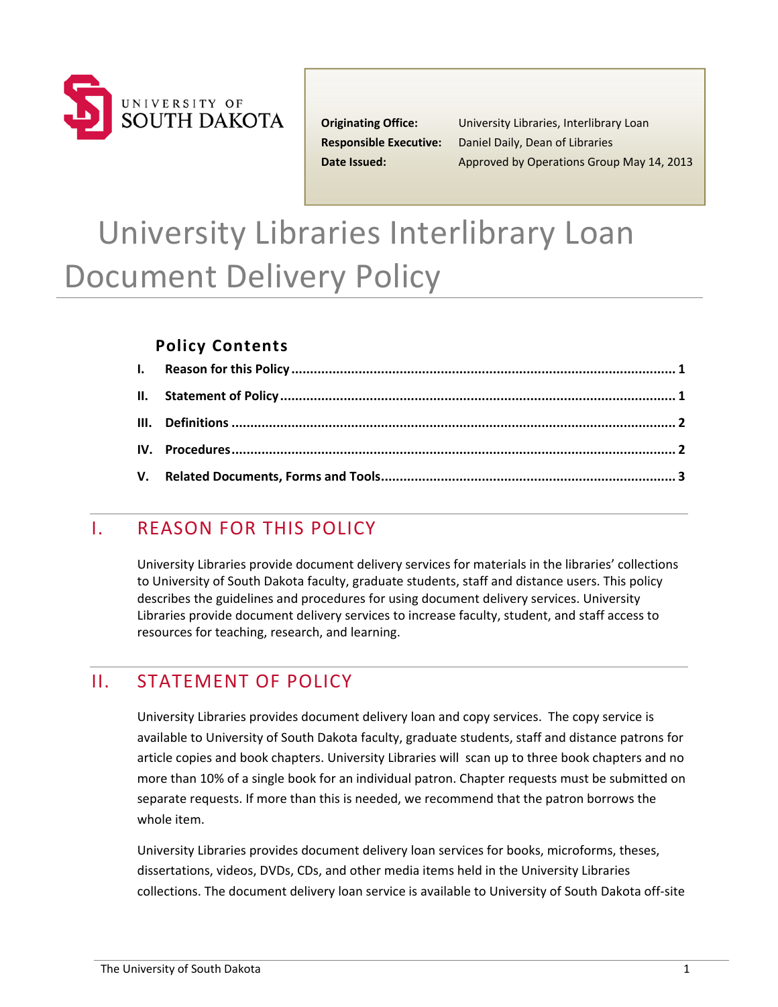

 **Originating Office:** University Libraries, Interlibrary Loan  **Responsible Executive:** Daniel Daily, Dean of Libraries **Date Issued:** Approved by Operations Group May 14, 2013

# University Libraries Interlibrary Loan Document Delivery Policy

#### **Policy Contents**

# I. REASON FOR THIS POLICY

 University Libraries provide document delivery services for materials in the libraries' collections to University of South Dakota faculty, graduate students, staff and distance users. This policy describes the guidelines and procedures for using document delivery services. University Libraries provide document delivery services to increase faculty, student, and staff access to resources for teaching, research, and learning.

## II. STATEMENT OF POLICY

 University Libraries provides document delivery loan and copy services. The copy service is available to University of South Dakota faculty, graduate students, staff and distance patrons for article copies and book chapters. University Libraries will scan up to three book chapters and no more than 10% of a single book for an individual patron. Chapter requests must be submitted on separate requests. If more than this is needed, we recommend that the patron borrows the whole item.

 University Libraries provides document delivery loan services for books, microforms, theses, dissertations, videos, DVDs, CDs, and other media items held in the University Libraries collections. The document delivery loan service is available to University of South Dakota off‐site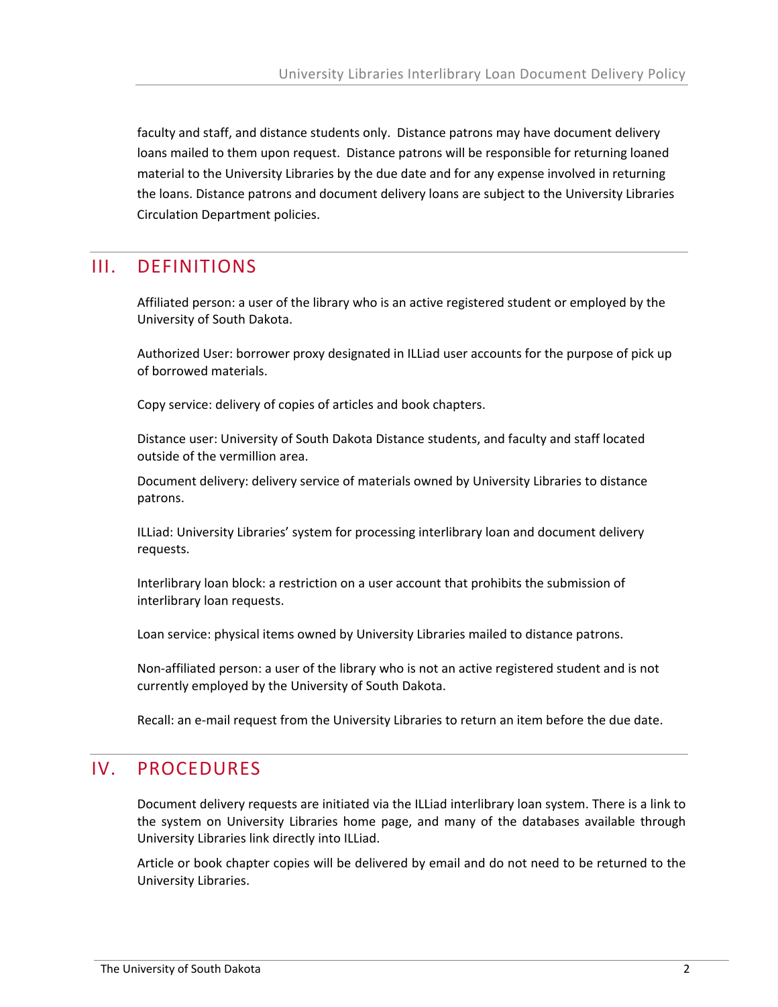faculty and staff, and distance students only. Distance patrons may have document delivery loans mailed to them upon request. Distance patrons will be responsible for returning loaned material to the University Libraries by the due date and for any expense involved in returning the loans. Distance patrons and document delivery loans are subject to the University Libraries Circulation Department policies.

### III. DEFINITIONS

 Affiliated person: a user of the library who is an active registered student or employed by the University of South Dakota.

 Authorized User: borrower proxy designated in ILLiad user accounts for the purpose of pick up of borrowed materials.

Copy service: delivery of copies of articles and book chapters.

 Distance user: University of South Dakota Distance students, and faculty and staff located outside of the vermillion area.

 Document delivery: delivery service of materials owned by University Libraries to distance patrons.

 ILLiad: University Libraries' system for processing interlibrary loan and document delivery requests.

 Interlibrary loan block: a restriction on a user account that prohibits the submission of interlibrary loan requests.

Loan service: physical items owned by University Libraries mailed to distance patrons.

 Non‐affiliated person: a user of the library who is not an active registered student and is not currently employed by the University of South Dakota.

Recall: an e‐mail request from the University Libraries to return an item before the due date.

#### IV. PROCEDURES

 Document delivery requests are initiated via the ILLiad interlibrary loan system. There is a link to the system on University Libraries home page, and many of the databases available through University Libraries link directly into ILLiad.

 Article or book chapter copies will be delivered by email and do not need to be returned to the University Libraries.